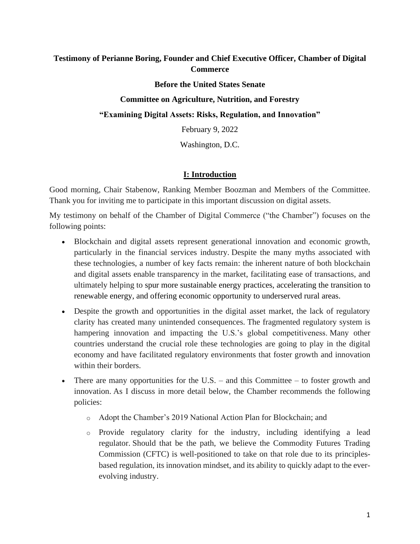## **Testimony of Perianne Boring, Founder and Chief Executive Officer, Chamber of Digital Commerce**

#### **Before the United States Senate**

### **Committee on Agriculture, Nutrition, and Forestry**

**"Examining Digital Assets: Risks, Regulation, and Innovation"**

February 9, 2022

Washington, D.C.

## **I: Introduction**

Good morning, Chair Stabenow, Ranking Member Boozman and Members of the Committee. Thank you for inviting me to participate in this important discussion on digital assets.

My testimony on behalf of the Chamber of Digital Commerce ("the Chamber") focuses on the following points:

- Blockchain and digital assets represent generational innovation and economic growth, particularly in the financial services industry. Despite the many myths associated with these technologies, a number of key facts remain: the inherent nature of both blockchain and digital assets enable transparency in the market, facilitating ease of transactions, and ultimately helping to spur more sustainable energy practices, accelerating the transition to renewable energy, and offering economic opportunity to underserved rural areas.
- Despite the growth and opportunities in the digital asset market, the lack of regulatory clarity has created many unintended consequences. The fragmented regulatory system is hampering innovation and impacting the U.S.'s global competitiveness. Many other countries understand the crucial role these technologies are going to play in the digital economy and have facilitated regulatory environments that foster growth and innovation within their borders.
- There are many opportunities for the U.S. and this Committee to foster growth and innovation. As I discuss in more detail below, the Chamber recommends the following policies:
	- o Adopt the Chamber's 2019 National Action Plan for Blockchain; and
	- o Provide regulatory clarity for the industry, including identifying a lead regulator. Should that be the path, we believe the Commodity Futures Trading Commission (CFTC) is well-positioned to take on that role due to its principlesbased regulation, its innovation mindset, and its ability to quickly adapt to the everevolving industry.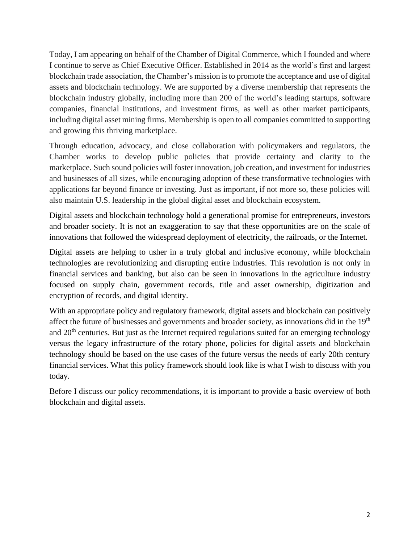Today, I am appearing on behalf of the Chamber of Digital Commerce, which I founded and where I continue to serve as Chief Executive Officer. Established in 2014 as the world's first and largest blockchain trade association, the Chamber's mission is to promote the acceptance and use of digital assets and blockchain technology. We are supported by a diverse membership that represents the blockchain industry globally, including more than 200 of the world's leading startups, software companies, financial institutions, and investment firms, as well as other market participants, including digital asset mining firms. Membership is open to all companies committed to supporting and growing this thriving marketplace.

Through education, advocacy, and close collaboration with policymakers and regulators, the Chamber works to develop public policies that provide certainty and clarity to the marketplace. Such sound policies will foster innovation, job creation, and investment for industries and businesses of all sizes, while encouraging adoption of these transformative technologies with applications far beyond finance or investing. Just as important, if not more so, these policies will also maintain U.S. leadership in the global digital asset and blockchain ecosystem.

Digital assets and blockchain technology hold a generational promise for entrepreneurs, investors and broader society. It is not an exaggeration to say that these opportunities are on the scale of innovations that followed the widespread deployment of electricity, the railroads, or the Internet.

Digital assets are helping to usher in a truly global and inclusive economy, while blockchain technologies are revolutionizing and disrupting entire industries. This revolution is not only in financial services and banking, but also can be seen in innovations in the agriculture industry focused on supply chain, government records, title and asset ownership, digitization and encryption of records, and digital identity.

With an appropriate policy and regulatory framework, digital assets and blockchain can positively affect the future of businesses and governments and broader society, as innovations did in the 19<sup>th</sup> and  $20<sup>th</sup>$  centuries. But just as the Internet required regulations suited for an emerging technology versus the legacy infrastructure of the rotary phone, policies for digital assets and blockchain technology should be based on the use cases of the future versus the needs of early 20th century financial services. What this policy framework should look like is what I wish to discuss with you today.

Before I discuss our policy recommendations, it is important to provide a basic overview of both blockchain and digital assets.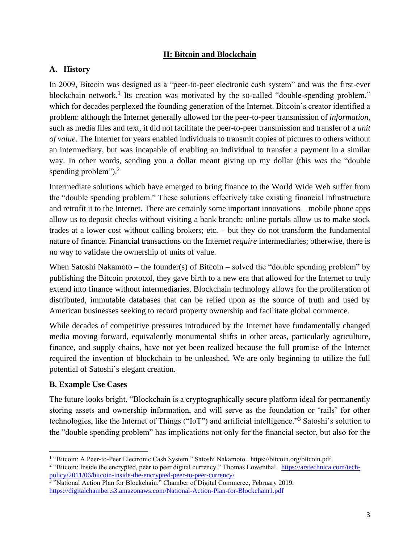## **II: Bitcoin and Blockchain**

## **A. History**

In 2009, Bitcoin was designed as a "peer-to-peer electronic cash system" and was the first-ever blockchain network.<sup>1</sup> Its creation was motivated by the so-called "double-spending problem," which for decades perplexed the founding generation of the Internet. Bitcoin's creator identified a problem: although the Internet generally allowed for the peer-to-peer transmission of *information*, such as media files and text, it did not facilitate the peer-to-peer transmission and transfer of a *unit of value*. The Internet for years enabled individuals to transmit copies of pictures to others without an intermediary, but was incapable of enabling an individual to transfer a payment in a similar way. In other words, sending you a dollar meant giving up my dollar (this *was* the "double spending problem").<sup>2</sup>

Intermediate solutions which have emerged to bring finance to the World Wide Web suffer from the "double spending problem." These solutions effectively take existing financial infrastructure and retrofit it to the Internet. There are certainly some important innovations – mobile phone apps allow us to deposit checks without visiting a bank branch; online portals allow us to make stock trades at a lower cost without calling brokers; etc. – but they do not transform the fundamental nature of finance. Financial transactions on the Internet *require* intermediaries; otherwise, there is no way to validate the ownership of units of value.

When Satoshi Nakamoto – the founder(s) of Bitcoin – solved the "double spending problem" by publishing the Bitcoin protocol, they gave birth to a new era that allowed for the Internet to truly extend into finance without intermediaries. Blockchain technology allows for the proliferation of distributed, immutable databases that can be relied upon as the source of truth and used by American businesses seeking to record property ownership and facilitate global commerce.

While decades of competitive pressures introduced by the Internet have fundamentally changed media moving forward, equivalently monumental shifts in other areas, particularly agriculture, finance, and supply chains, have not yet been realized because the full promise of the Internet required the invention of blockchain to be unleashed. We are only beginning to utilize the full potential of Satoshi's elegant creation.

## **B. Example Use Cases**

The future looks bright. "Blockchain is a cryptographically secure platform ideal for permanently storing assets and ownership information, and will serve as the foundation or 'rails' for other technologies, like the Internet of Things ("IoT") and artificial intelligence."<sup>3</sup> Satoshi's solution to the "double spending problem" has implications not only for the financial sector, but also for the

<sup>&</sup>lt;sup>1</sup> "Bitcoin: A Peer-to-Peer Electronic Cash System." Satoshi Nakamoto. [https://bitcoin.org/bitcoin.pdf.](https://bitcoin.org/bitcoin.pdf) <sup>2</sup> "Bitcoin: Inside the encrypted, peer to peer digital currency." Thomas Lowenthal. [https://arstechnica.com/tech-](https://arstechnica.com/tech-policy/2011/06/bitcoin-inside-the-encrypted-peer-to-peer-currency/)

[policy/2011/06/bitcoin-inside-the-encrypted-peer-to-peer-currency/](https://arstechnica.com/tech-policy/2011/06/bitcoin-inside-the-encrypted-peer-to-peer-currency/)<br><sup>3</sup> "National Action Plan for Blockchain." Chamber of Digital Commerce, February 2019. <https://digitalchamber.s3.amazonaws.com/National-Action-Plan-for-Blockchain1.pdf>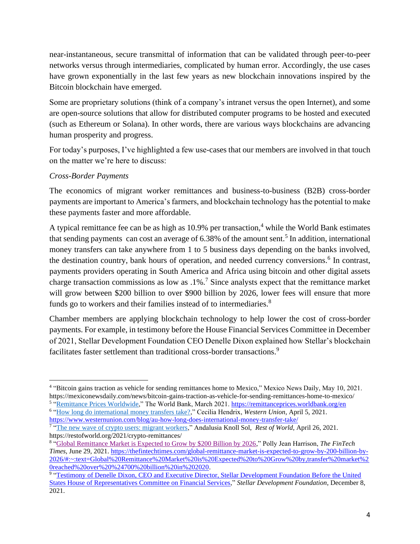near-instantaneous, secure transmittal of information that can be validated through peer-to-peer networks versus through intermediaries, complicated by human error. Accordingly, the use cases have grown exponentially in the last few years as new blockchain innovations inspired by the Bitcoin blockchain have emerged.

Some are proprietary solutions (think of a company's intranet versus the open Internet), and some are open-source solutions that allow for distributed computer programs to be hosted and executed (such as Ethereum or Solana). In other words, there are various ways blockchains are advancing human prosperity and progress.

For today's purposes, I've highlighted a few use-cases that our members are involved in that touch on the matter we're here to discuss:

## *Cross-Border Payments*

The economics of migrant worker remittances and business-to-business (B2B) cross-border payments are important to America's farmers, and blockchain technology has the potential to make these payments faster and more affordable.

A typical remittance fee can be as high as 10.9% per transaction, <sup>4</sup> while the World Bank estimates that sending payments can cost an average of 6.38% of the amount sent.<sup>5</sup> In addition, international money transfers can take anywhere from 1 to 5 business days depending on the banks involved, the destination country, bank hours of operation, and needed currency conversions.<sup>6</sup> In contrast, payments providers operating in South America and Africa using bitcoin and other digital assets charge transaction commissions as low as  $.1\%$ .<sup>7</sup> Since analysts expect that the remittance market will grow between \$200 billion to over \$900 billion by 2026, lower fees will ensure that more funds go to workers and their families instead of to intermediaries.<sup>8</sup>

Chamber members are applying blockchain technology to help lower the cost of cross-border payments. For example, in testimony before the House Financial Services Committee in December of 2021, Stellar Development Foundation CEO Denelle Dixon explained how Stellar's blockchain facilitates faster settlement than traditional cross-border transactions.<sup>9</sup>

<sup>4</sup> ["Bitcoin gains traction as vehicle for sending remittances home to Mexico,](https://mexiconewsdaily.com/news/bitcoin-gains-traction-as-vehicle-for-sending-remittances-home-to-mexico/)" Mexico News Daily, May 10, 2021. <https://mexiconewsdaily.com/news/bitcoin-gains-traction-as-vehicle-for-sending-remittances-home-to-mexico/>

<sup>&</sup>lt;sup>5</sup> ["Remittance Prices Worldwide,](https://remittanceprices.worldbank.org/en)" The World Bank, March 2021.<https://remittanceprices.worldbank.org/en> <sup>6</sup> ["How long do international money transfers take?,](https://www.westernunion.com/blog/au-how-long-does-international-money-transfer-take/)" Cecilia Hendrix, *Western Union*, April 5, 2021.

<https://www.westernunion.com/blog/au-how-long-does-international-money-transfer-take/> <sup>7</sup> ["The new wave of crypto users: migrant workers,](https://restofworld.org/2021/crypto-remittances/)" Andalusia Knoll Sol, *Rest of World*, April 26, 2021.

https://restofworld.org/2021/crypto-remittances/

<sup>8</sup> ["Global Remittance Market is Expected to Grow by \\$200 Billion by 2026,](https://thefintechtimes.com/global-remittance-market-is-expected-to-grow-by-200-billion-by-2026/#:~:text=Global%20Remittance%20Market%20is%20Expected%20to%20Grow%20by,transfer%20market%20reached%20over%20%24700%20billion%20in%202020.)" Polly Jean Harrison, *The FinTech Times*, June 29, 2021[. https://thefintechtimes.com/global-remittance-market-is-expected-to-grow-by-200-billion-by-](https://thefintechtimes.com/global-remittance-market-is-expected-to-grow-by-200-billion-by-2026/#:~:text=Global%20Remittance%20Market%20is%20Expected%20to%20Grow%20by,transfer%20market%20reached%20over%20%24700%20billion%20in%202020)[2026/#:~:text=Global%20Remittance%20Market%20is%20Expected%20to%20Grow%20by,transfer%20market%2](https://thefintechtimes.com/global-remittance-market-is-expected-to-grow-by-200-billion-by-2026/#:~:text=Global%20Remittance%20Market%20is%20Expected%20to%20Grow%20by,transfer%20market%20reached%20over%20%24700%20billion%20in%202020) [0reached%20over%20%24700%20billion%20in%202020.](https://thefintechtimes.com/global-remittance-market-is-expected-to-grow-by-200-billion-by-2026/#:~:text=Global%20Remittance%20Market%20is%20Expected%20to%20Grow%20by,transfer%20market%20reached%20over%20%24700%20billion%20in%202020)

<sup>&</sup>lt;sup>9</sup> "Testimony of Denelle Dixon, CEO and Executive Director, Stellar Development Foundation Before the United [States House of Representatives Committee on Financial Services,](https://financialservices.house.gov/uploadedfiles/hhrg-117-ba00-wstate-dixond-20211208.pdf)" *Stellar Development Foundation*, December 8, 2021.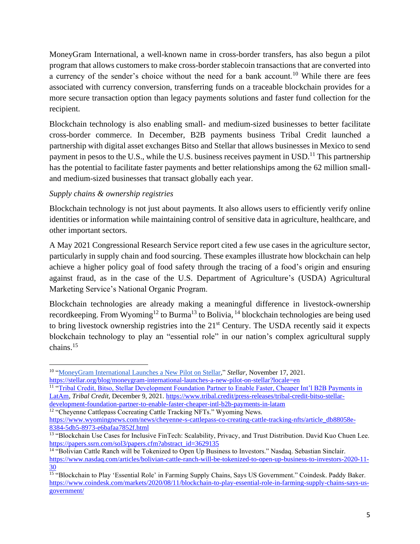MoneyGram International, a well-known name in cross-border transfers, has also begun a pilot program that allows customers to make cross-border stablecoin transactions that are converted into a currency of the sender's choice without the need for a bank account.<sup>10</sup> While there are fees associated with currency conversion, transferring funds on a traceable blockchain provides for a more secure transaction option than legacy payments solutions and faster fund collection for the recipient.

Blockchain technology is also enabling small- and medium-sized businesses to better facilitate cross-border commerce. In December, B2B payments business Tribal Credit launched a partnership with digital asset exchanges Bitso and Stellar that allows businesses in Mexico to send payment in pesos to the U.S., while the U.S. business receives payment in USD.<sup>11</sup> This partnership has the potential to facilitate faster payments and better relationships among the 62 million smalland medium-sized businesses that transact globally each year.

## *Supply chains & ownership registries*

Blockchain technology is not just about payments. It also allows users to efficiently verify online identities or information while maintaining control of sensitive data in agriculture, healthcare, and other important sectors.

A May 2021 Congressional Research Service report cited a few use cases in the agriculture sector, particularly in supply chain and food sourcing. These examples illustrate how blockchain can help achieve a higher policy goal of food safety through the tracing of a food's origin and ensuring against fraud, as in the case of the U.S. Department of Agriculture's (USDA) Agricultural Marketing Service's National Organic Program.

Blockchain technologies are already making a meaningful difference in livestock-ownership recordkeeping. From Wyoming<sup>12</sup> to Burma<sup>13</sup> to Bolivia, <sup>14</sup> blockchain technologies are being used to bring livestock ownership registries into the 21<sup>st</sup> Century. The USDA recently said it expects blockchain technology to play an "essential role" in our nation's complex agricultural supply chains.<sup>15</sup>

<sup>&</sup>lt;sup>10</sup> ["MoneyGram International Launches a New Pilot on Stellar,](https://stellar.org/blog/moneygram-international-launches-a-new-pilot-on-stellar?locale=en)" Stellar, November 17, 2021. <https://stellar.org/blog/moneygram-international-launches-a-new-pilot-on-stellar?locale=en>

<sup>&</sup>lt;sup>11</sup> "Tribal Credit, Bitso, Stellar Development Foundation Partner to Enable Faster, Cheaper Int'l B2B Payments in [LatAm,](https://www.tribal.credit/press-releases/tribal-credit-bitso-stellar-development-foundation-partner-to-enable-faster-cheaper-intl-b2b-payments-in-latam) *Tribal Credit,* December 9, 2021. [https://www.tribal.credit/press-releases/tribal-credit-bitso-stellar](https://www.tribal.credit/press-releases/tribal-credit-bitso-stellar-development-foundation-partner-to-enable-faster-cheaper-intl-b2b-payments-in-latam)[development-foundation-partner-to-enable-faster-cheaper-intl-b2b-payments-in-latam](https://www.tribal.credit/press-releases/tribal-credit-bitso-stellar-development-foundation-partner-to-enable-faster-cheaper-intl-b2b-payments-in-latam)

<sup>&</sup>lt;sup>12</sup> "Cheyenne Cattlepass Cocreating Cattle Tracking NFTs." Wyoming News.

[https://www.wyomingnews.com/news/cheyenne-s-cattlepass-co-creating-cattle-tracking-nfts/article\\_db88058e-](https://www.wyomingnews.com/news/cheyenne-s-cattlepass-co-creating-cattle-tracking-nfts/article_db88058e-8384-5db5-8973-e6bafaa7852f.html)[8384-5db5-8973-e6bafaa7852f.html](https://www.wyomingnews.com/news/cheyenne-s-cattlepass-co-creating-cattle-tracking-nfts/article_db88058e-8384-5db5-8973-e6bafaa7852f.html)

<sup>&</sup>lt;sup>13</sup> "Blockchain Use Cases for Inclusive FinTech: Scalability, Privacy, and Trust Distribution. David Kuo Chuen Lee. [https://papers.ssrn.com/sol3/papers.cfm?abstract\\_id=3629135](https://papers.ssrn.com/sol3/papers.cfm?abstract_id=3629135)

<sup>&</sup>lt;sup>14</sup> "Bolivian Cattle Ranch will be Tokenized to Open Up Business to Investors." Nasdaq. Sebastian Sinclair. [https://www.nasdaq.com/articles/bolivian-cattle-ranch-will-be-tokenized-to-open-up-business-to-investors-2020-11-](https://www.nasdaq.com/articles/bolivian-cattle-ranch-will-be-tokenized-to-open-up-business-to-investors-2020-11-30) [30](https://www.nasdaq.com/articles/bolivian-cattle-ranch-will-be-tokenized-to-open-up-business-to-investors-2020-11-30)

<sup>&</sup>lt;sup>15</sup> "Blockchain to Play 'Essential Role' in Farming Supply Chains, Says US Government." Coindesk. Paddy Baker. [https://www.coindesk.com/markets/2020/08/11/blockchain-to-play-essential-role-in-farming-supply-chains-says-us](https://www.coindesk.com/markets/2020/08/11/blockchain-to-play-essential-role-in-farming-supply-chains-says-us-government/)[government/](https://www.coindesk.com/markets/2020/08/11/blockchain-to-play-essential-role-in-farming-supply-chains-says-us-government/)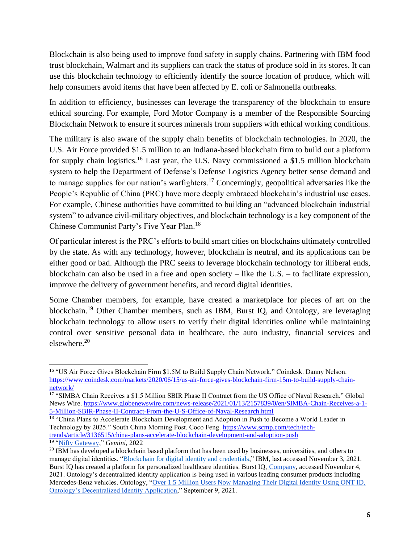Blockchain is also being used to improve food safety in supply chains. Partnering with IBM food trust blockchain, Walmart and its suppliers can track the status of produce sold in its stores. It can use this blockchain technology to efficiently identify the source location of produce, which will help consumers avoid items that have been affected by E. coli or Salmonella outbreaks.

In addition to efficiency, businesses can leverage the transparency of the blockchain to ensure ethical sourcing. For example, Ford Motor Company is a member of the Responsible Sourcing Blockchain Network to ensure it sources minerals from suppliers with ethical working conditions.

The military is also aware of the supply chain benefits of blockchain technologies. In 2020, the U.S. Air Force provided \$1.5 million to an Indiana-based blockchain firm to build out a platform for supply chain logistics.<sup>16</sup> Last year, the U.S. Navy commissioned a \$1.5 million blockchain system to help the Department of Defense's Defense Logistics Agency better sense demand and to manage supplies for our nation's warfighters.<sup>17</sup> Concerningly, geopolitical adversaries like the People's Republic of China (PRC) have more deeply embraced blockchain's industrial use cases. For example, Chinese authorities have committed to building an "advanced blockchain industrial system" to advance civil-military objectives, and blockchain technology is a key component of the Chinese Communist Party's Five Year Plan.<sup>18</sup>

Of particular interest is the PRC's efforts to build smart cities on blockchains ultimately controlled by the state. As with any technology, however, blockchain is neutral, and its applications can be either good or bad. Although the PRC seeks to leverage blockchain technology for illiberal ends, blockchain can also be used in a free and open society – like the U.S. – to facilitate expression, improve the delivery of government benefits, and record digital identities.

Some Chamber members, for example, have created a marketplace for pieces of art on the blockchain.<sup>19</sup> Other Chamber members, such as IBM, Burst IQ, and Ontology, are leveraging blockchain technology to allow users to verify their digital identities online while maintaining control over sensitive personal data in healthcare, the auto industry, financial services and elsewhere.<sup>20</sup>

<sup>&</sup>lt;sup>16</sup> "US Air Force Gives Blockchain Firm \$1.5M to Build Supply Chain Network." Coindesk. Danny Nelson. [https://www.coindesk.com/markets/2020/06/15/us-air-force-gives-blockchain-firm-15m-to-build-supply-chain](https://www.coindesk.com/markets/2020/06/15/us-air-force-gives-blockchain-firm-15m-to-build-supply-chain-network/)[network/](https://www.coindesk.com/markets/2020/06/15/us-air-force-gives-blockchain-firm-15m-to-build-supply-chain-network/)

<sup>&</sup>lt;sup>17</sup> "SIMBA Chain Receives a \$1.5 Million SBIR Phase II Contract from the US Office of Naval Research." Global News Wire. [https://www.globenewswire.com/news-release/2021/01/13/2157839/0/en/SIMBA-Chain-Receives-a-1-](https://www.globenewswire.com/news-release/2021/01/13/2157839/0/en/SIMBA-Chain-Receives-a-1-5-Million-SBIR-Phase-II-Contract-From-the-U-S-Office-of-Naval-Research.html) [5-Million-SBIR-Phase-II-Contract-From-the-U-S-Office-of-Naval-Research.html](https://www.globenewswire.com/news-release/2021/01/13/2157839/0/en/SIMBA-Chain-Receives-a-1-5-Million-SBIR-Phase-II-Contract-From-the-U-S-Office-of-Naval-Research.html)

<sup>&</sup>lt;sup>18</sup> "China Plans to Accelerate Blockchain Development and Adoption in Push to Become a World Leader in Technology by 2025." South China Morning Post. Coco Feng. [https://www.scmp.com/tech/tech](https://www.scmp.com/tech/tech-trends/article/3136515/china-plans-accelerate-blockchain-development-and-adoption-push)[trends/article/3136515/china-plans-accelerate-blockchain-development-and-adoption-push](https://www.scmp.com/tech/tech-trends/article/3136515/china-plans-accelerate-blockchain-development-and-adoption-push) 19 ["Nifty Gateway,](https://www.gemini.com/nifty-gateway)" *Gemini,* 2022

<sup>&</sup>lt;sup>20</sup> IBM has developed a blockchain based platform that has been used by businesses, universities, and others to manage digital identities. ["Blockchain for digital identity and credentials,"](https://www.ibm.com/blockchain/solutions/identity) IBM, last accessed November 3, 2021. Burst IQ has created a platform for personalized healthcare identities. Burst IQ, [Company,](https://www.burstiq.com/company/) accessed November 4, 2021. Ontology's decentralized identity application is being used in various leading consumer products including Mercedes-Benz vehicles. Ontology, ["Over 1.5 Million Users Now Managing Their Digital Identity Using ONT ID,](https://ont.io/news/en/747)  [Ontology's Decentralized Identity Application,](https://ont.io/news/en/747)" September 9, 2021.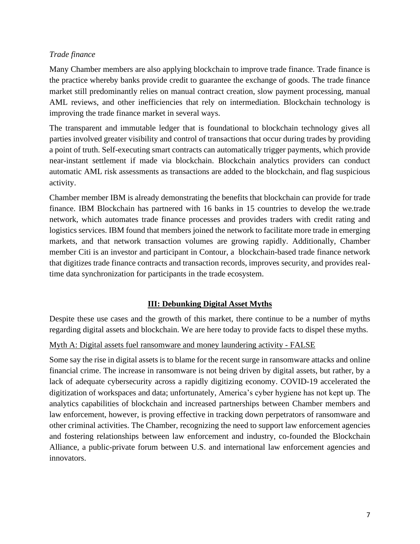### *Trade finance*

Many Chamber members are also applying blockchain to improve trade finance. Trade finance is the practice whereby banks provide credit to guarantee the exchange of goods. The trade finance market still predominantly relies on manual contract creation, slow payment processing, manual AML reviews, and other inefficiencies that rely on intermediation. Blockchain technology is improving the trade finance market in several ways.

The transparent and immutable ledger that is foundational to blockchain technology gives all parties involved greater visibility and control of transactions that occur during trades by providing a point of truth. Self-executing smart contracts can automatically trigger payments, which provide near-instant settlement if made via blockchain. Blockchain analytics providers can conduct automatic AML risk assessments as transactions are added to the blockchain, and flag suspicious activity.

Chamber member IBM is already demonstrating the benefits that blockchain can provide for trade finance. IBM Blockchain has partnered with 16 banks in 15 countries to develop the we.trade network, which automates trade finance processes and provides traders with credit rating and logistics services. IBM found that members joined the network to facilitate more trade in emerging markets, and that network transaction volumes are growing rapidly. Additionally, Chamber member Citi is an investor and participant in Contour, a blockchain-based trade finance network that digitizes trade finance contracts and transaction records, improves security, and provides realtime data synchronization for participants in the trade ecosystem.

## **III: Debunking Digital Asset Myths**

Despite these use cases and the growth of this market, there continue to be a number of myths regarding digital assets and blockchain. We are here today to provide facts to dispel these myths.

#### Myth A: Digital assets fuel ransomware and money laundering activity - FALSE

Some say the rise in digital assets is to blame for the recent surge in ransomware attacks and online financial crime. The increase in ransomware is not being driven by digital assets, but rather, by a lack of adequate cybersecurity across a rapidly digitizing economy. COVID-19 accelerated the digitization of workspaces and data; unfortunately, America's cyber hygiene has not kept up. The analytics capabilities of blockchain and increased partnerships between Chamber members and law enforcement, however, is proving effective in tracking down perpetrators of ransomware and other criminal activities. The Chamber, recognizing the need to support law enforcement agencies and fostering relationships between law enforcement and industry, co-founded the Blockchain Alliance, a public-private forum between U.S. and international law enforcement agencies and innovators.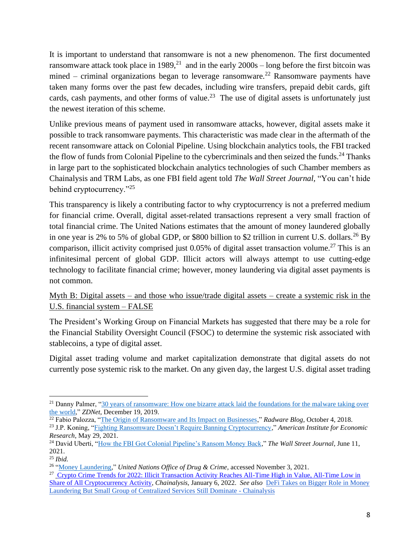It is important to understand that ransomware is not a new phenomenon. The first documented ransomware attack took place in 1989,<sup>21</sup> and in the early  $2000s - \log$  before the first bitcoin was mined – criminal organizations began to leverage ransomware.<sup>22</sup> Ransomware payments have taken many forms over the past few decades, including wire transfers, prepaid debit cards, gift cards, cash payments, and other forms of value.<sup>23</sup> The use of digital assets is unfortunately just the newest iteration of this scheme.

Unlike previous means of payment used in ransomware attacks, however, digital assets make it possible to track ransomware payments. This characteristic was made clear in the aftermath of the recent ransomware attack on Colonial Pipeline. Using blockchain analytics tools, the FBI tracked the flow of funds from Colonial Pipeline to the cybercriminals and then seized the funds.<sup>24</sup> Thanks in large part to the sophisticated blockchain analytics technologies of such Chamber members as Chainalysis and TRM Labs, as one FBI field agent told *The Wall Street Journal,* "You can't hide behind cryptocurrency."<sup>25</sup>

This transparency is likely a contributing factor to why cryptocurrency is not a preferred medium for financial crime. Overall, digital asset-related transactions represent a very small fraction of total financial crime. The United Nations estimates that the amount of money laundered globally in one year is 2% to 5% of global GDP, or \$800 billion to \$2 trillion in current U.S. dollars.<sup>26</sup> By comparison, illicit activity comprised just 0.05% of digital asset transaction volume.<sup>27</sup> This is an infinitesimal percent of global GDP. Illicit actors will always attempt to use cutting-edge technology to facilitate financial crime; however, money laundering via digital asset payments is not common.

## Myth B: Digital assets – and those who issue/trade digital assets – create a systemic risk in the U.S. financial system – FALSE

The President's Working Group on Financial Markets has suggested that there may be a role for the Financial Stability Oversight Council (FSOC) to determine the systemic risk associated with stablecoins, a type of digital asset.

Digital asset trading volume and market capitalization demonstrate that digital assets do not currently pose systemic risk to the market. On any given day, the largest U.S. digital asset trading

<sup>&</sup>lt;sup>21</sup> Danny Palmer, "30 years of ransomware: How one bizarre attack laid the foundations for the malware taking over [the world,](https://www.zdnet.com/article/30-years-of-ransomware-how-one-bizarre-attack-laid-the-foundations-for-the-malware-taking-over-the-world/)" *ZDNet*, December 19, 2019.

<sup>22</sup> Fabio Palozza, ["The Origin of Ransomware and Its Impact on Businesses,](https://blog.radware.com/security/2018/10/origin-of-ransomware/)" *Radware Blog*, October 4, 2018.

<sup>23</sup> J.P. Koning, ["Fighting Ransomware Doesn't Require Banning Cryptocurrency,](https://www.aier.org/article/fighting-ransomware-doesnt-require-banning-cryptocurrency/)" *American Institute for Economic Research*, May 29, 2021.

<sup>24</sup> David Uberti, ["How the FBI Got Colonial Pipeline's Ransom Money Back,](https://www.wsj.com/articles/how-the-fbi-got-colonial-pipelines-ransom-money-back-11623403981)" *The Wall Street Journal*, June 11, 2021.

<sup>25</sup> *Ibid.*

<sup>26</sup> ["Money Laundering,](https://www.unodc.org/unodc/en/money-laundering/overview.html)" *United Nations Office of Drug & Crime*, accessed November 3, 2021.

<sup>&</sup>lt;sup>27</sup> Crypto Crime Trends for 2022: Illicit Transaction Activity Reaches All-Time High in Value, All-Time Low in [Share of All Cryptocurrency Activity,](https://blog.chainalysis.com/reports/2022-crypto-crime-report-introduction/) *Chainalysis,* January 6, 2022. *See also* [DeFi Takes on Bigger Role in Money](https://blog.chainalysis.com/reports/2022-crypto-crime-report-preview-cryptocurrency-money-laundering/)  [Laundering But Small Group of Centralized Services Still Dominate -](https://blog.chainalysis.com/reports/2022-crypto-crime-report-preview-cryptocurrency-money-laundering/) Chainalysis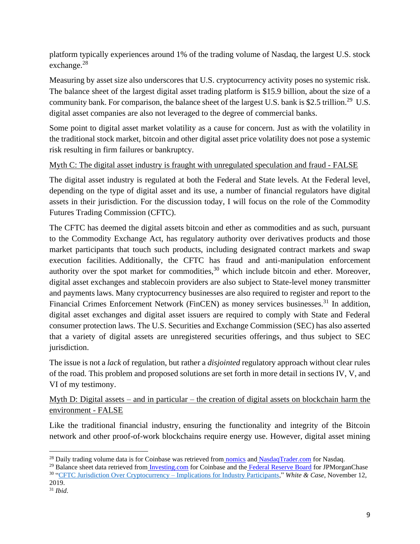platform typically experiences around 1% of the trading volume of Nasdaq, the largest U.S. stock exchange.<sup>28</sup>

Measuring by asset size also underscores that U.S. cryptocurrency activity poses no systemic risk. The balance sheet of the largest digital asset trading platform is \$15.9 billion, about the size of a community bank. For comparison, the balance sheet of the largest U.S. bank is \$2.5 trillion.<sup>29</sup> U.S. digital asset companies are also not leveraged to the degree of commercial banks.

Some point to digital asset market volatility as a cause for concern. Just as with the volatility in the traditional stock market, bitcoin and other digital asset price volatility does not pose a systemic risk resulting in firm failures or bankruptcy.

## Myth C: The digital asset industry is fraught with unregulated speculation and fraud - FALSE

The digital asset industry is regulated at both the Federal and State levels. At the Federal level, depending on the type of digital asset and its use, a number of financial regulators have digital assets in their jurisdiction. For the discussion today, I will focus on the role of the Commodity Futures Trading Commission (CFTC).

The CFTC has deemed the digital assets bitcoin and ether as commodities and as such, pursuant to the Commodity Exchange Act, has regulatory authority over derivatives products and those market participants that touch such products, including designated contract markets and swap execution facilities. Additionally, the CFTC has fraud and anti-manipulation enforcement authority over the spot market for commodities,  $30$  which include bitcoin and ether. Moreover, digital asset exchanges and stablecoin providers are also subject to State-level money transmitter and payments laws. Many cryptocurrency businesses are also required to register and report to the Financial Crimes Enforcement Network (FinCEN) as money services businesses.<sup>31</sup> In addition, digital asset exchanges and digital asset issuers are required to comply with State and Federal consumer protection laws. The U.S. Securities and Exchange Commission (SEC) has also asserted that a variety of digital assets are unregistered securities offerings, and thus subject to SEC jurisdiction.

The issue is not a *lack* of regulation, but rather a *disjointed* regulatory approach without clear rules of the road. This problem and proposed solutions are set forth in more detail in sections IV, V, and VI of my testimony.

Myth D: Digital assets – and in particular – the creation of digital assets on blockchain harm the environment - FALSE

Like the traditional financial industry, ensuring the functionality and integrity of the Bitcoin network and other proof-of-work blockchains require energy use. However, digital asset mining

<sup>&</sup>lt;sup>28</sup> Daily trading volume data is for Coinbase was retrieved from [nomics](https://nomics.com/exchanges/gdax-coinbase-exchange) and [NasdaqTrader.com](http://www.nasdaqtrader.com/Trader.aspx?id=DailyMarketSummary) for Nasdaq.

<sup>&</sup>lt;sup>29</sup> Balance sheet data retrieved from *[Investing.com](https://www.investing.com/equities/coinbase-global-balance-sheet)* for Coinbase and the [Federal Reserve Board](https://www.federalreserve.gov/releases/lbr/current/default.htm) for JPMorganChase 30 ["CFTC Jurisdiction Over Cryptocurrency –](https://www.jdsupra.com/legalnews/cftc-jurisdiction-over-cryptocurrency-99573/) Implications for Industry Participants," *White & Case*, November 12, 2019.

<sup>31</sup> *Ibid*.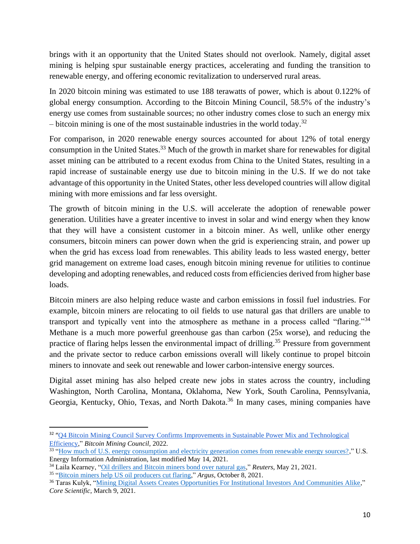brings with it an opportunity that the United States should not overlook. Namely, digital asset mining is helping spur sustainable energy practices, accelerating and funding the transition to renewable energy, and offering economic revitalization to underserved rural areas.

In 2020 bitcoin mining was estimated to use 188 terawatts of power, which is about 0.122% of global energy consumption. According to the Bitcoin Mining Council, 58.5% of the industry's energy use comes from sustainable sources; no other industry comes close to such an energy mix – bitcoin mining is one of the most sustainable industries in the world today.<sup>32</sup>

For comparison, in 2020 renewable energy sources accounted for about 12% of total energy consumption in the United States.<sup>33</sup> Much of the growth in market share for renewables for digital asset mining can be attributed to a recent exodus from China to the United States, resulting in a rapid increase of sustainable energy use due to bitcoin mining in the U.S. If we do not take advantage of this opportunity in the United States, other less developed countries will allow digital mining with more emissions and far less oversight.

The growth of bitcoin mining in the U.S. will accelerate the adoption of renewable power generation. Utilities have a greater incentive to invest in solar and wind energy when they know that they will have a consistent customer in a bitcoin miner. As well, unlike other energy consumers, bitcoin miners can power down when the grid is experiencing strain, and power up when the grid has excess load from renewables. This ability leads to less wasted energy, better grid management on extreme load cases, enough bitcoin mining revenue for utilities to continue developing and adopting renewables, and reduced costs from efficiencies derived from higher base loads.

Bitcoin miners are also helping reduce waste and carbon emissions in fossil fuel industries. For example, bitcoin miners are relocating to oil fields to use natural gas that drillers are unable to transport and typically vent into the atmosphere as methane in a process called "flaring."<sup>34</sup> Methane is a much more powerful greenhouse gas than carbon (25x worse), and reducing the practice of flaring helps lessen the environmental impact of drilling.<sup>35</sup> Pressure from government and the private sector to reduce carbon emissions overall will likely continue to propel bitcoin miners to innovate and seek out renewable and lower carbon-intensive energy sources.

Digital asset mining has also helped create new jobs in states across the country, including Washington, North Carolina, Montana, Oklahoma, New York, South Carolina, Pennsylvania, Georgia, Kentucky, Ohio, Texas, and North Dakota.<sup>36</sup> In many cases, mining companies have

<sup>&</sup>lt;sup>32</sup> "Q4 Bitcoin Mining Council Survey Confirms Improvements in Sustainable Power Mix and Technological [Efficiency,](https://bitcoinminingcouncil.com/q4-bitcoin-mining-council-survey-confirms-sustainable-power-mix-and-technological-efficiency/)" *Bitcoin Mining Council,* 2022.

<sup>&</sup>lt;sup>33</sup> ["How much of U.S. energy consumption and electricity generation comes from renewable energy sources?,](https://www.eia.gov/tools/faqs/faq.php?id=92&t=4)" U.S. Energy Information Administration, last modified May 14, 2021.

<sup>34</sup> Laila Kearney, ["Oil drillers and Bitcoin miners bond over natural gas,](https://www.reuters.com/business/sustainable-business/oil-drillers-bitcoin-miners-bond-over-natural-gas-2021-05-21/)" *Reuters*, May 21, 2021.

<sup>35</sup> ["Bitcoin miners help US oil producers cut flaring,](https://www.argusmedia.com/en/news/2261931-bitcoin-miners-help-us-oil-producers-cut-flaring)" *Argus*, October 8, 2021.

<sup>&</sup>lt;sup>36</sup> Taras Kulyk, ["Mining Digital Assets Creates Opportunities For Institutional Investors And Communities Alike,](https://www.corescientific.com/core-knowledge/mining-digital-assets-creates-opportunities-for-institutional-investors-and-communities-alike)" *Core Scientific*, March 9, 2021.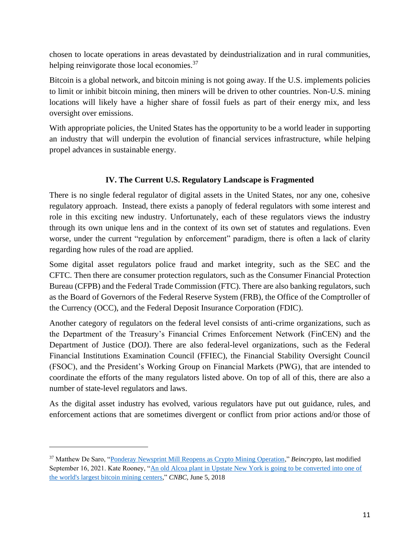chosen to locate operations in areas devastated by deindustrialization and in rural communities, helping reinvigorate those local economies.<sup>37</sup>

Bitcoin is a global network, and bitcoin mining is not going away. If the U.S. implements policies to limit or inhibit bitcoin mining, then miners will be driven to other countries. Non-U.S. mining locations will likely have a higher share of fossil fuels as part of their energy mix, and less oversight over emissions.

With appropriate policies, the United States has the opportunity to be a world leader in supporting an industry that will underpin the evolution of financial services infrastructure, while helping propel advances in sustainable energy.

## **IV. The Current U.S. Regulatory Landscape is Fragmented**

There is no single federal regulator of digital assets in the United States, nor any one, cohesive regulatory approach. Instead, there exists a panoply of federal regulators with some interest and role in this exciting new industry. Unfortunately, each of these regulators views the industry through its own unique lens and in the context of its own set of statutes and regulations. Even worse, under the current "regulation by enforcement" paradigm, there is often a lack of clarity regarding how rules of the road are applied.

Some digital asset regulators police fraud and market integrity, such as the SEC and the CFTC. Then there are consumer protection regulators, such as the Consumer Financial Protection Bureau (CFPB) and the Federal Trade Commission (FTC). There are also banking regulators, such as the Board of Governors of the Federal Reserve System (FRB), the Office of the Comptroller of the Currency (OCC), and the Federal Deposit Insurance Corporation (FDIC).

Another category of regulators on the federal level consists of anti-crime organizations, such as the Department of the Treasury's Financial Crimes Enforcement Network (FinCEN) and the Department of Justice (DOJ). There are also federal-level organizations, such as the Federal Financial Institutions Examination Council (FFIEC), the Financial Stability Oversight Council (FSOC), and the President's Working Group on Financial Markets (PWG), that are intended to coordinate the efforts of the many regulators listed above. On top of all of this, there are also a number of state-level regulators and laws.

As the digital asset industry has evolved, various regulators have put out guidance, rules, and enforcement actions that are sometimes divergent or conflict from prior actions and/or those of

<sup>37</sup> Matthew De Saro, ["Ponderay Newsprint Mill Reopens as Crypto Mining Operation,](https://beincrypto.com/ponderay-newsprint-mill-reopens-as-crypto-mining-operation/)" *Beincrypto*, last modified September 16, 2021. Kate Rooney, ["An old Alcoa plant in Upstate New York is going to be converted into one of](https://www.yahoo.com/news/old-alcoa-plant-upstate-york-204200517.html?soc_src=social-sh&soc_trk=ma)  [the world's largest bitcoin mining centers,](https://www.yahoo.com/news/old-alcoa-plant-upstate-york-204200517.html?soc_src=social-sh&soc_trk=ma)" *CNBC,* June 5, 2018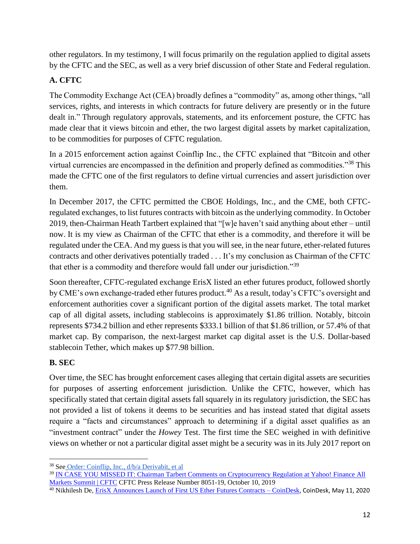other regulators. In my testimony, I will focus primarily on the regulation applied to digital assets by the CFTC and the SEC, as well as a very brief discussion of other State and Federal regulation.

# **A. CFTC**

The Commodity Exchange Act (CEA) broadly defines a "commodity" as, among other things, "all services, rights, and interests in which contracts for future delivery are presently or in the future dealt in." Through regulatory approvals, statements, and its enforcement posture, the CFTC has made clear that it views bitcoin and ether, the two largest digital assets by market capitalization, to be commodities for purposes of CFTC regulation.

In a 2015 enforcement action against Coinflip Inc., the CFTC explained that "Bitcoin and other virtual currencies are encompassed in the definition and properly defined as commodities."<sup>38</sup> This made the CFTC one of the first regulators to define virtual currencies and assert jurisdiction over them.

In December 2017, the CFTC permitted the CBOE Holdings, Inc., and the CME, both CFTCregulated exchanges, to list futures contracts with bitcoin as the underlying commodity. In October 2019, then-Chairman Heath Tartbert explained that "[w]e haven't said anything about ether – until now. It is my view as Chairman of the CFTC that ether is a commodity, and therefore it will be regulated under the CEA. And my guess is that you will see, in the near future, ether-related futures contracts and other derivatives potentially traded . . . It's my conclusion as Chairman of the CFTC that ether is a commodity and therefore would fall under our jurisdiction."<sup>39</sup>

Soon thereafter, CFTC-regulated exchange ErisX listed an ether futures product, followed shortly by CME's own exchange-traded ether futures product.<sup>40</sup> As a result, today's CFTC's oversight and enforcement authorities cover a significant portion of the digital assets market. The total market cap of all digital assets, including stablecoins is approximately \$1.86 trillion. Notably, bitcoin represents \$734.2 billion and ether represents \$333.1 billion of that \$1.86 trillion, or 57.4% of that market cap. By comparison, the next-largest market cap digital asset is the U.S. Dollar-based stablecoin Tether, which makes up \$77.98 billion.

## **B. SEC**

Over time, the SEC has brought enforcement cases alleging that certain digital assets are securities for purposes of asserting enforcement jurisdiction. Unlike the CFTC, however, which has specifically stated that certain digital assets fall squarely in its regulatory jurisdiction, the SEC has not provided a list of tokens it deems to be securities and has instead stated that digital assets require a "facts and circumstances" approach to determining if a digital asset qualifies as an "investment contract" under the *Howey* Test. The first time the SEC weighed in with definitive views on whether or not a particular digital asset might be a security was in its July 2017 report on

<sup>39</sup> [IN CASE YOU MISSED IT: Chairman Tarbert Comments on Cryptocurrency Regulation at Yahoo! Finance All](https://www.cftc.gov/PressRoom/PressReleases/8051-19)  [Markets Summit | CFTC](https://www.cftc.gov/PressRoom/PressReleases/8051-19) CFTC Press Release Number 8051-19, October 10, 2019

<sup>38</sup> See [Order: Coinflip, Inc., d/b/a Derivabit, et al](https://www.cftc.gov/sites/default/files/idc/groups/public/@lrenforcementactions/documents/legalpleading/enfcoinfliprorder09172015.pdf)

<sup>&</sup>lt;sup>40</sup> Nikhilesh De, [ErisX Announces Launch of First US Ether Futures Contracts –](https://www.coindesk.com/markets/2020/05/11/erisx-announces-launch-of-first-us-ether-futures-contracts/) CoinDesk, CoinDesk, May 11, 2020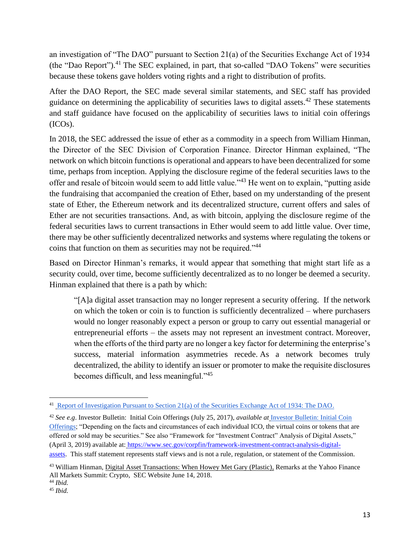an investigation of "The DAO" pursuant to Section 21(a) of the Securities Exchange Act of 1934 (the "Dao Report").<sup>41</sup> The SEC explained, in part, that so-called "DAO Tokens" were securities because these tokens gave holders voting rights and a right to distribution of profits.

After the DAO Report, the SEC made several similar statements, and SEC staff has provided guidance on determining the applicability of securities laws to digital assets.<sup>42</sup> These statements and staff guidance have focused on the applicability of securities laws to initial coin offerings (ICOs).

In 2018, the SEC addressed the issue of ether as a commodity in a speech from William Hinman, the Director of the SEC Division of Corporation Finance. Director Hinman explained, "The network on which bitcoin functions is operational and appears to have been decentralized for some time, perhaps from inception. Applying the disclosure regime of the federal securities laws to the offer and resale of bitcoin would seem to add little value."<sup>43</sup> He went on to explain, "putting aside the fundraising that accompanied the creation of Ether, based on my understanding of the present state of Ether, the Ethereum network and its decentralized structure, current offers and sales of Ether are not securities transactions. And, as with bitcoin, applying the disclosure regime of the federal securities laws to current transactions in Ether would seem to add little value. Over time, there may be other sufficiently decentralized networks and systems where regulating the tokens or coins that function on them as securities may not be required."<sup>44</sup>

Based on Director Hinman's remarks, it would appear that something that might start life as a security could, over time, become sufficiently decentralized as to no longer be deemed a security. Hinman explained that there is a path by which:

"[A]a digital asset transaction may no longer represent a security offering. If the network on which the token or coin is to function is sufficiently decentralized – where purchasers would no longer reasonably expect a person or group to carry out essential managerial or entrepreneurial efforts – the assets may not represent an investment contract. Moreover, when the efforts of the third party are no longer a key factor for determining the enterprise's success, material information asymmetries recede. As a network becomes truly decentralized, the ability to identify an issuer or promoter to make the requisite disclosures becomes difficult, and less meaningful."<sup>45</sup>

<sup>&</sup>lt;sup>41</sup> [Report of Investigation Pursuant to Section 21\(a\) of the Securities Exchange Act of 1934: The DAO.](https://www.sec.gov/litigation/investreport/34-81207.pdf)

<sup>42</sup> *See e.g*. Investor Bulletin: Initial Coin Offerings (July 25, 2017), *available at* [Investor Bulletin: Initial Coin](https://www.sec.gov/oiea/investor-alerts-and-bulletins/ib_coinofferings)  [Offerings;](https://www.sec.gov/oiea/investor-alerts-and-bulletins/ib_coinofferings) "Depending on the facts and circumstances of each individual ICO, the virtual coins or tokens that are offered or sold may be securities." See also "Framework for "Investment Contract" Analysis of Digital Assets," (April 3, 2019) available at: [https://www.sec.gov/corpfin/framework-investment-contract-analysis-digital](https://www.sec.gov/corpfin/framework-investment-contract-analysis-digital-assets)[assets.](https://www.sec.gov/corpfin/framework-investment-contract-analysis-digital-assets) This staff statement represents staff views and is not a rule, regulation, or statement of the Commission.

<sup>&</sup>lt;sup>43</sup> William Hinman, [Digital Asset Transactions: When Howey Met Gary \(Plastic\),](https://www.sec.gov/news/speech/speech-hinman-061418) Remarks at the Yahoo Finance All Markets Summit: Crypto, SEC Website June 14, 2018.

<sup>44</sup> *Ibid.*

<sup>45</sup> *Ibid.*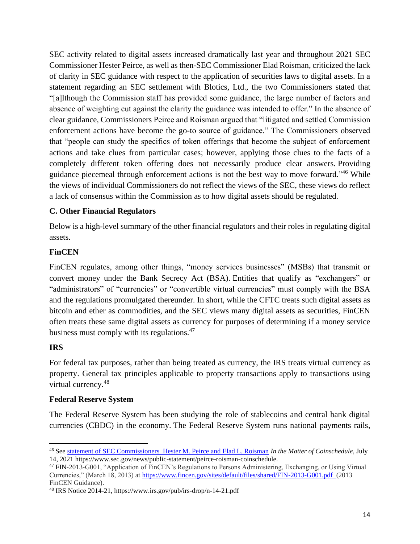SEC activity related to digital assets increased dramatically last year and throughout 2021 SEC Commissioner Hester Peirce, as well as then-SEC Commissioner Elad Roisman, criticized the lack of clarity in SEC guidance with respect to the application of securities laws to digital assets. In a statement regarding an SEC settlement with Blotics, Ltd., the two Commissioners stated that "[a]lthough the Commission staff has provided some guidance, the large number of factors and absence of weighting cut against the clarity the guidance was intended to offer." In the absence of clear guidance, Commissioners Peirce and Roisman argued that "litigated and settled Commission enforcement actions have become the go-to source of guidance." The Commissioners observed that "people can study the specifics of token offerings that become the subject of enforcement actions and take clues from particular cases; however, applying those clues to the facts of a completely different token offering does not necessarily produce clear answers. Providing guidance piecemeal through enforcement actions is not the best way to move forward."<sup>46</sup> While the views of individual Commissioners do not reflect the views of the SEC, these views do reflect a lack of consensus within the Commission as to how digital assets should be regulated.

## **C. Other Financial Regulators**

Below is a high-level summary of the other financial regulators and their roles in regulating digital assets.

## **FinCEN**

FinCEN regulates, among other things, "money services businesses" (MSBs) that transmit or convert money under the Bank Secrecy Act (BSA). Entities that qualify as "exchangers" or "administrators" of "currencies" or "convertible virtual currencies" must comply with the BSA and the regulations promulgated thereunder. In short, while the CFTC treats such digital assets as bitcoin and ether as commodities, and the SEC views many digital assets as securities, FinCEN often treats these same digital assets as currency for purposes of determining if a money service business must comply with its regulations.<sup>47</sup>

## **IRS**

For federal tax purposes, rather than being treated as currency, the IRS treats virtual currency as property. General tax principles applicable to property transactions apply to transactions using virtual currency.<sup>48</sup>

## **Federal Reserve System**

The Federal Reserve System has been studying the role of stablecoins and central bank digital currencies (CBDC) in the economy. The Federal Reserve System runs national payments rails,

<sup>46</sup> See [statement of SEC Commissioners Hester M. Peirce and Elad L. Roisman](https://www.sec.gov/news/public-statement/peirce-roisman-coinschedule) *In the Matter of Coinschedule*, July 14, 2021 https://www.sec.gov/news/public-statement/peirce-roisman-coinschedule.

<sup>47</sup> FIN-2013-G001, "Application of FinCEN's Regulations to Persons Administering, Exchanging, or Using Virtual Currencies," (March 18, 2013) at <https://www.fincen.gov/sites/default/files/shared/FIN-2013-G001.pdf>(2013 FinCEN Guidance).

<sup>48</sup> IRS Notice 2014-21, https://www.irs.gov/pub/irs-drop/n-14-21.pdf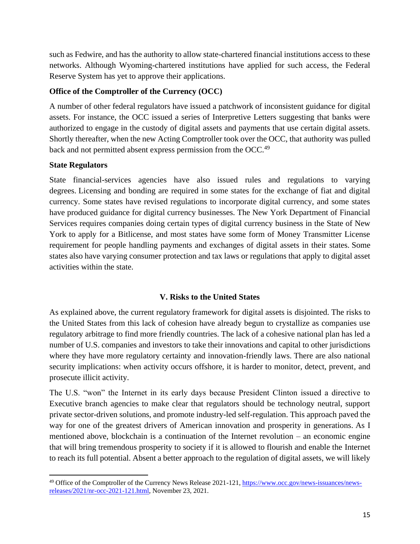such as Fedwire, and has the authority to allow state-chartered financial institutions access to these networks. Although Wyoming-chartered institutions have applied for such access, the Federal Reserve System has yet to approve their applications.

### **Office of the Comptroller of the Currency (OCC)**

A number of other federal regulators have issued a patchwork of inconsistent guidance for digital assets. For instance, the OCC issued a series of Interpretive Letters suggesting that banks were authorized to engage in the custody of digital assets and payments that use certain digital assets. Shortly thereafter, when the new Acting Comptroller took over the OCC, that authority was pulled back and not permitted absent express permission from the OCC.<sup>49</sup>

### **State Regulators**

State financial-services agencies have also issued rules and regulations to varying degrees. Licensing and bonding are required in some states for the exchange of fiat and digital currency. Some states have revised regulations to incorporate digital currency, and some states have produced guidance for digital currency businesses. The New York Department of Financial Services requires companies doing certain types of digital currency business in the State of New York to apply for a Bitlicense, and most states have some form of Money Transmitter License requirement for people handling payments and exchanges of digital assets in their states. Some states also have varying consumer protection and tax laws or regulations that apply to digital asset activities within the state.

## **V. Risks to the United States**

As explained above, the current regulatory framework for digital assets is disjointed. The risks to the United States from this lack of cohesion have already begun to crystallize as companies use regulatory arbitrage to find more friendly countries. The lack of a cohesive national plan has led a number of U.S. companies and investors to take their innovations and capital to other jurisdictions where they have more regulatory certainty and innovation-friendly laws. There are also national security implications: when activity occurs offshore, it is harder to monitor, detect, prevent, and prosecute illicit activity.

The U.S. "won" the Internet in its early days because President Clinton issued a directive to Executive branch agencies to make clear that regulators should be technology neutral, support private sector-driven solutions, and promote industry-led self-regulation. This approach paved the way for one of the greatest drivers of American innovation and prosperity in generations. As I mentioned above, blockchain is a continuation of the Internet revolution – an economic engine that will bring tremendous prosperity to society if it is allowed to flourish and enable the Internet to reach its full potential. Absent a better approach to the regulation of digital assets, we will likely

<sup>&</sup>lt;sup>49</sup> Office of the Comptroller of the Currency News Release 2021-121, [https://www.occ.gov/news-issuances/news](https://www.occ.gov/news-issuances/news-releases/2021/nr-occ-2021-121.html)[releases/2021/nr-occ-2021-121.html,](https://www.occ.gov/news-issuances/news-releases/2021/nr-occ-2021-121.html) November 23, 2021.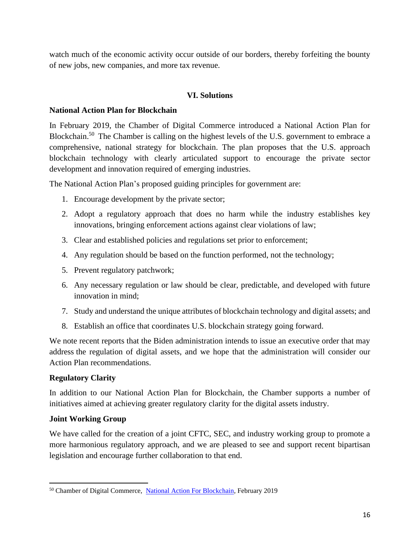watch much of the economic activity occur outside of our borders, thereby forfeiting the bounty of new jobs, new companies, and more tax revenue.

## **VI. Solutions**

### **National Action Plan for Blockchain**

In February 2019, the Chamber of Digital Commerce introduced a National Action Plan for Blockchain.<sup>50</sup> The Chamber is calling on the highest levels of the U.S. government to embrace a comprehensive, national strategy for blockchain. The plan proposes that the U.S. approach blockchain technology with clearly articulated support to encourage the private sector development and innovation required of emerging industries.

The National Action Plan's proposed guiding principles for government are:

- 1. Encourage development by the private sector;
- 2. Adopt a regulatory approach that does no harm while the industry establishes key innovations, bringing enforcement actions against clear violations of law;
- 3. Clear and established policies and regulations set prior to enforcement;
- 4. Any regulation should be based on the function performed, not the technology;
- 5. Prevent regulatory patchwork;
- 6. Any necessary regulation or law should be clear, predictable, and developed with future innovation in mind;
- 7. Study and understand the unique attributes of blockchain technology and digital assets; and
- 8. Establish an office that coordinates U.S. blockchain strategy going forward.

We note recent reports that the Biden administration intends to issue an executive order that may address the regulation of digital assets, and we hope that the administration will consider our Action Plan recommendations.

## **Regulatory Clarity**

In addition to our National Action Plan for Blockchain, the Chamber supports a number of initiatives aimed at achieving greater regulatory clarity for the digital assets industry.

## **Joint Working Group**

We have called for the creation of a joint CFTC, SEC, and industry working group to promote a more harmonious regulatory approach, and we are pleased to see and support recent bipartisan legislation and encourage further collaboration to that end.

<sup>&</sup>lt;sup>50</sup> Chamber of Digital Commerce, [National Action For Blockchain,](https://digitalchamber.s3.amazonaws.com/National-Action-Plan-for-Blockchain1.pdf) February 2019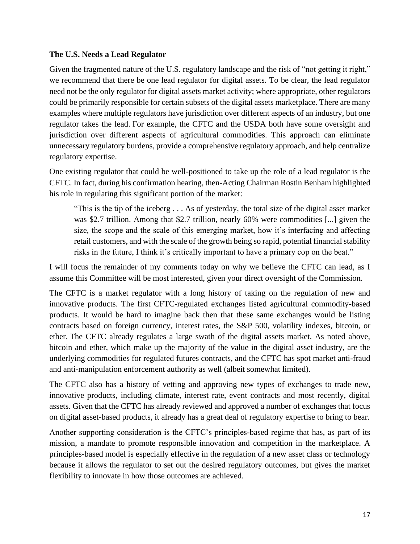### **The U.S. Needs a Lead Regulator**

Given the fragmented nature of the U.S. regulatory landscape and the risk of "not getting it right," we recommend that there be one lead regulator for digital assets. To be clear, the lead regulator need not be the only regulator for digital assets market activity; where appropriate, other regulators could be primarily responsible for certain subsets of the digital assets marketplace. There are many examples where multiple regulators have jurisdiction over different aspects of an industry, but one regulator takes the lead. For example, the CFTC and the USDA both have some oversight and jurisdiction over different aspects of agricultural commodities. This approach can eliminate unnecessary regulatory burdens, provide a comprehensive regulatory approach, and help centralize regulatory expertise.

One existing regulator that could be well-positioned to take up the role of a lead regulator is the CFTC. In fact, during his confirmation hearing, then-Acting Chairman Rostin Benham highlighted his role in regulating this significant portion of the market:

"This is the tip of the iceberg . . . As of yesterday, the total size of the digital asset market was \$2.7 trillion. Among that \$2.7 trillion, nearly 60% were commodities [...] given the size, the scope and the scale of this emerging market, how it's interfacing and affecting retail customers, and with the scale of the growth being so rapid, potential financial stability risks in the future, I think it's critically important to have a primary cop on the beat."

I will focus the remainder of my comments today on why we believe the CFTC can lead, as I assume this Committee will be most interested, given your direct oversight of the Commission.

The CFTC is a market regulator with a long history of taking on the regulation of new and innovative products. The first CFTC-regulated exchanges listed agricultural commodity-based products. It would be hard to imagine back then that these same exchanges would be listing contracts based on foreign currency, interest rates, the S&P 500, volatility indexes, bitcoin, or ether. The CFTC already regulates a large swath of the digital assets market. As noted above, bitcoin and ether, which make up the majority of the value in the digital asset industry, are the underlying commodities for regulated futures contracts, and the CFTC has spot market anti-fraud and anti-manipulation enforcement authority as well (albeit somewhat limited).

The CFTC also has a history of vetting and approving new types of exchanges to trade new, innovative products, including climate, interest rate, event contracts and most recently, digital assets. Given that the CFTC has already reviewed and approved a number of exchanges that focus on digital asset-based products, it already has a great deal of regulatory expertise to bring to bear.

Another supporting consideration is the CFTC's principles-based regime that has, as part of its mission, a mandate to promote responsible innovation and competition in the marketplace. A principles-based model is especially effective in the regulation of a new asset class or technology because it allows the regulator to set out the desired regulatory outcomes, but gives the market flexibility to innovate in how those outcomes are achieved.